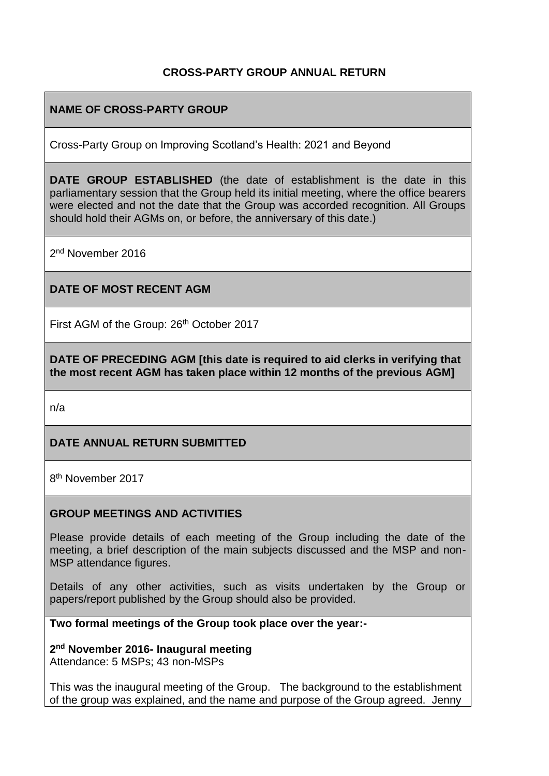## **CROSS-PARTY GROUP ANNUAL RETURN**

### **NAME OF CROSS-PARTY GROUP**

Cross-Party Group on Improving Scotland's Health: 2021 and Beyond

**DATE GROUP ESTABLISHED** (the date of establishment is the date in this parliamentary session that the Group held its initial meeting, where the office bearers were elected and not the date that the Group was accorded recognition. All Groups should hold their AGMs on, or before, the anniversary of this date.)

2<sup>nd</sup> November 2016

#### **DATE OF MOST RECENT AGM**

First AGM of the Group: 26<sup>th</sup> October 2017

**DATE OF PRECEDING AGM [this date is required to aid clerks in verifying that the most recent AGM has taken place within 12 months of the previous AGM]**

n/a

#### **DATE ANNUAL RETURN SUBMITTED**

8<sup>th</sup> November 2017

#### **GROUP MEETINGS AND ACTIVITIES**

Please provide details of each meeting of the Group including the date of the meeting, a brief description of the main subjects discussed and the MSP and non-MSP attendance figures.

Details of any other activities, such as visits undertaken by the Group or papers/report published by the Group should also be provided.

**Two formal meetings of the Group took place over the year:-**

**2 nd November 2016- Inaugural meeting** Attendance: 5 MSPs; 43 non-MSPs

This was the inaugural meeting of the Group. The background to the establishment of the group was explained, and the name and purpose of the Group agreed. Jenny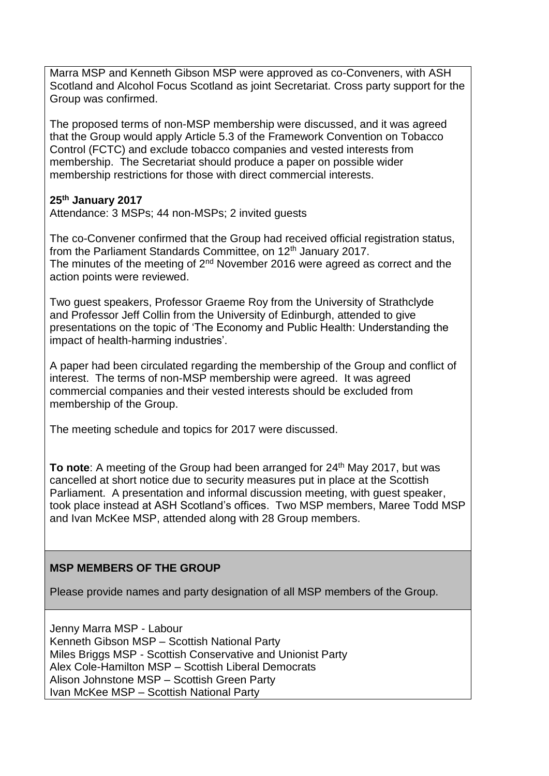Marra MSP and Kenneth Gibson MSP were approved as co-Conveners, with ASH Scotland and Alcohol Focus Scotland as joint Secretariat. Cross party support for the Group was confirmed.

The proposed terms of non-MSP membership were discussed, and it was agreed that the Group would apply Article 5.3 of the Framework Convention on Tobacco Control (FCTC) and exclude tobacco companies and vested interests from membership. The Secretariat should produce a paper on possible wider membership restrictions for those with direct commercial interests.

#### **25th January 2017**

Attendance: 3 MSPs; 44 non-MSPs; 2 invited guests

The co-Convener confirmed that the Group had received official registration status, from the Parliament Standards Committee, on 12<sup>th</sup> January 2017. The minutes of the meeting of 2<sup>nd</sup> November 2016 were agreed as correct and the action points were reviewed.

Two guest speakers, Professor Graeme Roy from the University of Strathclyde and Professor Jeff Collin from the University of Edinburgh, attended to give presentations on the topic of 'The Economy and Public Health: Understanding the impact of health-harming industries'.

A paper had been circulated regarding the membership of the Group and conflict of interest. The terms of non-MSP membership were agreed. It was agreed commercial companies and their vested interests should be excluded from membership of the Group.

The meeting schedule and topics for 2017 were discussed.

**To note:** A meeting of the Group had been arranged for 24<sup>th</sup> May 2017, but was cancelled at short notice due to security measures put in place at the Scottish Parliament. A presentation and informal discussion meeting, with guest speaker, took place instead at ASH Scotland's offices. Two MSP members, Maree Todd MSP and Ivan McKee MSP, attended along with 28 Group members.

## **MSP MEMBERS OF THE GROUP**

Please provide names and party designation of all MSP members of the Group.

Jenny Marra MSP - Labour Kenneth Gibson MSP – Scottish National Party Miles Briggs MSP - Scottish Conservative and Unionist Party Alex Cole-Hamilton MSP – Scottish Liberal Democrats Alison Johnstone MSP – Scottish Green Party Ivan McKee MSP – Scottish National Party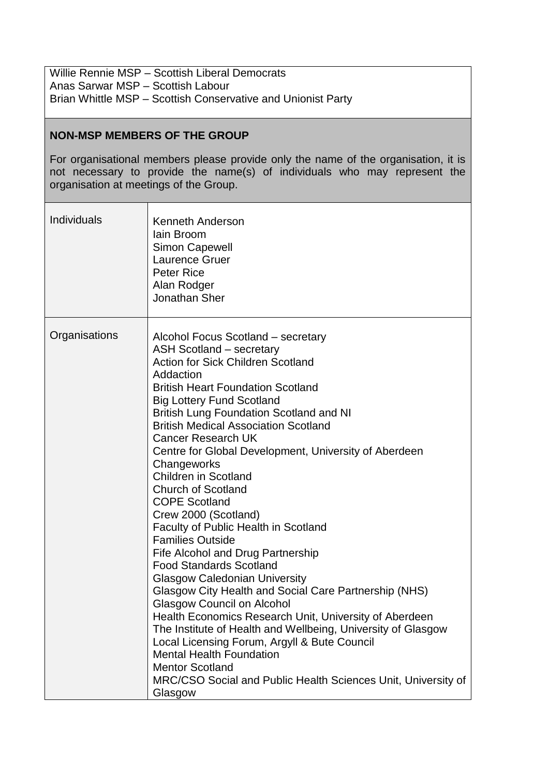Willie Rennie MSP – Scottish Liberal Democrats Anas Sarwar MSP – Scottish Labour Brian Whittle MSP – Scottish Conservative and Unionist Party

#### **NON-MSP MEMBERS OF THE GROUP**

For organisational members please provide only the name of the organisation, it is not necessary to provide the name(s) of individuals who may represent the organisation at meetings of the Group.

| Individuals   | <b>Kenneth Anderson</b><br>lain Broom<br><b>Simon Capewell</b><br>Laurence Gruer<br><b>Peter Rice</b><br>Alan Rodger<br>Jonathan Sher                                                                                                                                                                                                                                                                                                                                                                                                                                                                                                                                                                                                                                                                                                                                                                                                                                                                                                                                                                                        |
|---------------|------------------------------------------------------------------------------------------------------------------------------------------------------------------------------------------------------------------------------------------------------------------------------------------------------------------------------------------------------------------------------------------------------------------------------------------------------------------------------------------------------------------------------------------------------------------------------------------------------------------------------------------------------------------------------------------------------------------------------------------------------------------------------------------------------------------------------------------------------------------------------------------------------------------------------------------------------------------------------------------------------------------------------------------------------------------------------------------------------------------------------|
| Organisations | Alcohol Focus Scotland – secretary<br><b>ASH Scotland – secretary</b><br><b>Action for Sick Children Scotland</b><br>Addaction<br><b>British Heart Foundation Scotland</b><br><b>Big Lottery Fund Scotland</b><br><b>British Lung Foundation Scotland and NI</b><br><b>British Medical Association Scotland</b><br><b>Cancer Research UK</b><br>Centre for Global Development, University of Aberdeen<br>Changeworks<br><b>Children in Scotland</b><br><b>Church of Scotland</b><br><b>COPE Scotland</b><br>Crew 2000 (Scotland)<br>Faculty of Public Health in Scotland<br><b>Families Outside</b><br>Fife Alcohol and Drug Partnership<br><b>Food Standards Scotland</b><br><b>Glasgow Caledonian University</b><br>Glasgow City Health and Social Care Partnership (NHS)<br>Glasgow Council on Alcohol<br>Health Economics Research Unit, University of Aberdeen<br>The Institute of Health and Wellbeing, University of Glasgow<br>Local Licensing Forum, Argyll & Bute Council<br><b>Mental Health Foundation</b><br><b>Mentor Scotland</b><br>MRC/CSO Social and Public Health Sciences Unit, University of<br>Glasgow |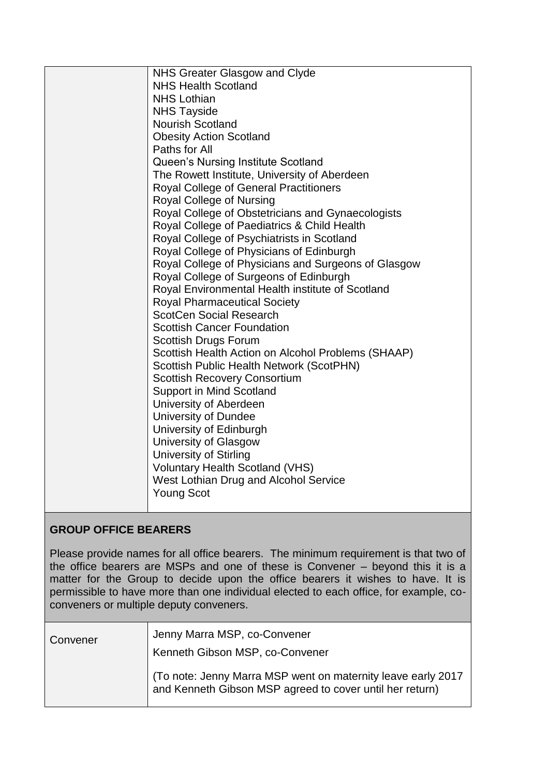| NHS Greater Glasgow and Clyde                       |
|-----------------------------------------------------|
| <b>NHS Health Scotland</b>                          |
| <b>NHS Lothian</b>                                  |
| <b>NHS Tayside</b>                                  |
| <b>Nourish Scotland</b>                             |
| <b>Obesity Action Scotland</b>                      |
| Paths for All                                       |
| Queen's Nursing Institute Scotland                  |
| The Rowett Institute, University of Aberdeen        |
| <b>Royal College of General Practitioners</b>       |
| Royal College of Nursing                            |
| Royal College of Obstetricians and Gynaecologists   |
| Royal College of Paediatrics & Child Health         |
| Royal College of Psychiatrists in Scotland          |
| Royal College of Physicians of Edinburgh            |
| Royal College of Physicians and Surgeons of Glasgow |
| Royal College of Surgeons of Edinburgh              |
| Royal Environmental Health institute of Scotland    |
| <b>Royal Pharmaceutical Society</b>                 |
| <b>ScotCen Social Research</b>                      |
| <b>Scottish Cancer Foundation</b>                   |
| Scottish Drugs Forum                                |
| Scottish Health Action on Alcohol Problems (SHAAP)  |
| Scottish Public Health Network (ScotPHN)            |
| <b>Scottish Recovery Consortium</b>                 |
| Support in Mind Scotland                            |
| University of Aberdeen                              |
| University of Dundee                                |
| University of Edinburgh                             |
| <b>University of Glasgow</b>                        |
| <b>University of Stirling</b>                       |
| <b>Voluntary Health Scotland (VHS)</b>              |
| West Lothian Drug and Alcohol Service               |
| <b>Young Scot</b>                                   |
|                                                     |

## **GROUP OFFICE BEARERS**

Please provide names for all office bearers. The minimum requirement is that two of the office bearers are MSPs and one of these is Convener – beyond this it is a matter for the Group to decide upon the office bearers it wishes to have. It is permissible to have more than one individual elected to each office, for example, coconveners or multiple deputy conveners.

| Convener | Jenny Marra MSP, co-Convener<br>Kenneth Gibson MSP, co-Convener                                                           |
|----------|---------------------------------------------------------------------------------------------------------------------------|
|          | To note: Jenny Marra MSP went on maternity leave early 2017<br>  and Kenneth Gibson MSP agreed to cover until her return) |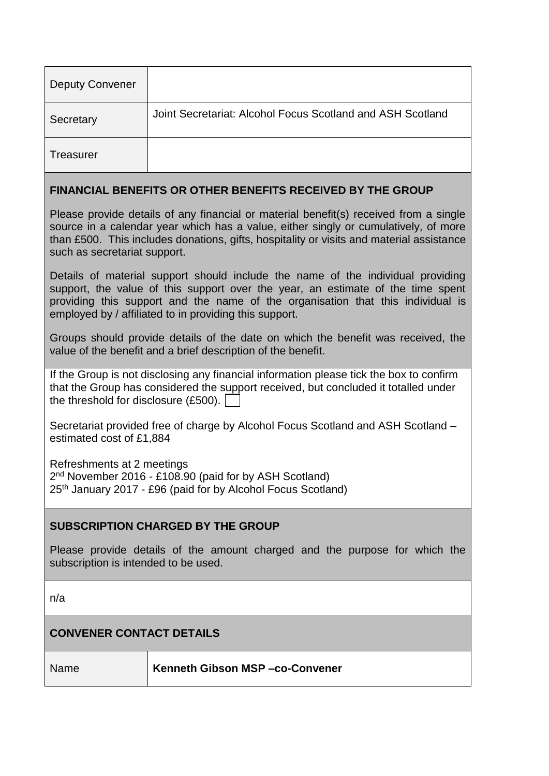| <b>Deputy Convener</b>                                                                                                                                                                                                                                                                                   |                                                            |  |
|----------------------------------------------------------------------------------------------------------------------------------------------------------------------------------------------------------------------------------------------------------------------------------------------------------|------------------------------------------------------------|--|
| Secretary                                                                                                                                                                                                                                                                                                | Joint Secretariat: Alcohol Focus Scotland and ASH Scotland |  |
| Treasurer                                                                                                                                                                                                                                                                                                |                                                            |  |
| <b>FINANCIAL BENEFITS OR OTHER BENEFITS RECEIVED BY THE GROUP</b>                                                                                                                                                                                                                                        |                                                            |  |
| Please provide details of any financial or material benefit(s) received from a single<br>source in a calendar year which has a value, either singly or cumulatively, of more<br>than £500. This includes donations, gifts, hospitality or visits and material assistance<br>such as secretariat support. |                                                            |  |

Details of material support should include the name of the individual providing support, the value of this support over the year, an estimate of the time spent providing this support and the name of the organisation that this individual is employed by / affiliated to in providing this support.

Groups should provide details of the date on which the benefit was received, the value of the benefit and a brief description of the benefit.

| If the Group is not disclosing any financial information please tick the box to confirm |
|-----------------------------------------------------------------------------------------|
| that the Group has considered the support received, but concluded it totalled under     |
| the threshold for disclosure $(E500)$ .                                                 |

Secretariat provided free of charge by Alcohol Focus Scotland and ASH Scotland – estimated cost of £1,884

Refreshments at 2 meetings

2<sup>nd</sup> November 2016 - £108.90 (paid for by ASH Scotland) 25th January 2017 - £96 (paid for by Alcohol Focus Scotland)

## **SUBSCRIPTION CHARGED BY THE GROUP**

Please provide details of the amount charged and the purpose for which the subscription is intended to be used.

n/a

# **CONVENER CONTACT DETAILS**

Name **Kenneth Gibson MSP –co-Convener**